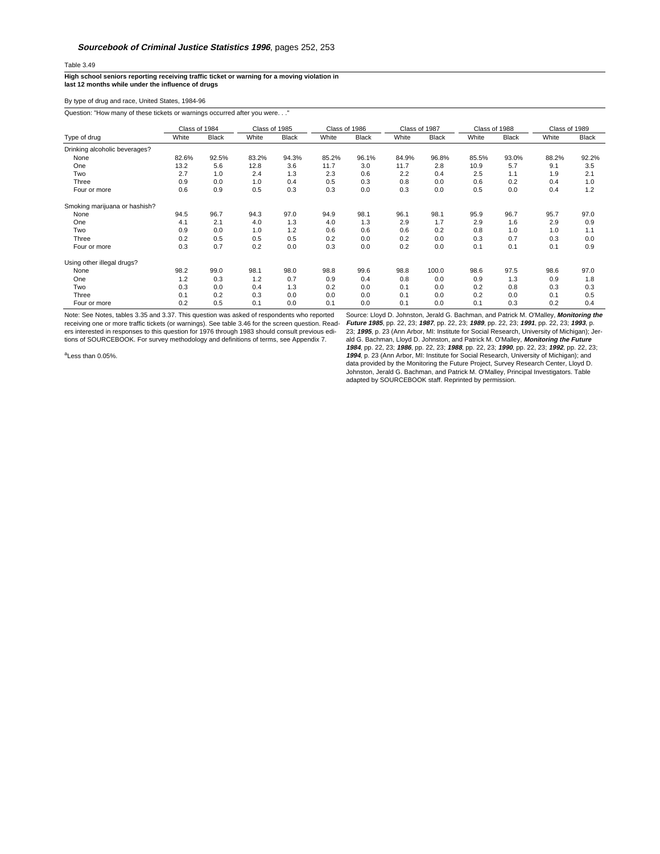## Table 3.49

**High school seniors reporting receiving traffic ticket or warning for a moving violation in last 12 months while under the influence of drugs**

By type of drug and race, United States, 1984-96

Question: "How many of these tickets or warnings occurred after you were. . ."

|                               | Class of 1984 |              | Class of 1985 |              | Class of 1986 |              | Class of 1987 |              | Class of 1988 |              | Class of 1989 |              |
|-------------------------------|---------------|--------------|---------------|--------------|---------------|--------------|---------------|--------------|---------------|--------------|---------------|--------------|
| Type of drug                  | White         | <b>Black</b> | White         | <b>Black</b> | White         | <b>Black</b> | White         | <b>Black</b> | White         | <b>Black</b> | White         | <b>Black</b> |
| Drinking alcoholic beverages? |               |              |               |              |               |              |               |              |               |              |               |              |
| None                          | 82.6%         | 92.5%        | 83.2%         | 94.3%        | 85.2%         | 96.1%        | 84.9%         | 96.8%        | 85.5%         | 93.0%        | 88.2%         | 92.2%        |
| One                           | 13.2          | 5.6          | 12.8          | 3.6          | 11.7          | 3.0          | 11.7          | 2.8          | 10.9          | 5.7          | 9.1           | 3.5          |
| Two                           | 2.7           | 1.0          | 2.4           | 1.3          | 2.3           | 0.6          | 2.2           | 0.4          | 2.5           | 1.1          | 1.9           | 2.1          |
| Three                         | 0.9           | 0.0          | 1.0           | 0.4          | 0.5           | 0.3          | 0.8           | 0.0          | 0.6           | 0.2          | 0.4           | 1.0          |
| Four or more                  | 0.6           | 0.9          | 0.5           | 0.3          | 0.3           | 0.0          | 0.3           | 0.0          | 0.5           | 0.0          | 0.4           | 1.2          |
| Smoking marijuana or hashish? |               |              |               |              |               |              |               |              |               |              |               |              |
| None                          | 94.5          | 96.7         | 94.3          | 97.0         | 94.9          | 98.1         | 96.1          | 98.1         | 95.9          | 96.7         | 95.7          | 97.0         |
| One                           | 4.1           | 2.1          | 4.0           | 1.3          | 4.0           | 1.3          | 2.9           | 1.7          | 2.9           | 1.6          | 2.9           | 0.9          |
| Two                           | 0.9           | 0.0          | 1.0           | 1.2          | 0.6           | 0.6          | 0.6           | 0.2          | 0.8           | 1.0          | 1.0           | 1.1          |
| Three                         | 0.2           | 0.5          | 0.5           | 0.5          | 0.2           | 0.0          | 0.2           | 0.0          | 0.3           | 0.7          | 0.3           | 0.0          |
| Four or more                  | 0.3           | 0.7          | 0.2           | 0.0          | 0.3           | 0.0          | 0.2           | 0.0          | 0.1           | 0.1          | 0.1           | 0.9          |
| Using other illegal drugs?    |               |              |               |              |               |              |               |              |               |              |               |              |
| None                          | 98.2          | 99.0         | 98.1          | 98.0         | 98.8          | 99.6         | 98.8          | 100.0        | 98.6          | 97.5         | 98.6          | 97.0         |
| One                           | 1.2           | 0.3          | 1.2           | 0.7          | 0.9           | 0.4          | 0.8           | 0.0          | 0.9           | 1.3          | 0.9           | 1.8          |
| Two                           | 0.3           | 0.0          | 0.4           | 1.3          | 0.2           | 0.0          | 0.1           | 0.0          | 0.2           | 0.8          | 0.3           | 0.3          |
| Three                         | 0.1           | 0.2          | 0.3           | 0.0          | 0.0           | 0.0          | 0.1           | 0.0          | 0.2           | 0.0          | 0.1           | 0.5          |
| Four or more                  | 0.2           | 0.5          | 0.1           | 0.0          | 0.1           | 0.0          | 0.1           | 0.0          | 0.1           | 0.3          | 0.2           | 0.4          |

Note: See Notes, tables 3.35 and 3.37. This question was asked of respondents who reported receiving one or more traffic tickets (or warnings). See table 3.46 for the screen question. Read-<br>ers interested in responses to this question for 1976 through 1983 should consult previous edi-<br>tions of SOURCEBOOK. For su

<sup>a</sup>Less than 0.05%.

Source: Lloyd D. Johnston, Jerald G. Bachman, and Patrick M. O'Malley, **Monitoring the** *Future 1985*, pp. 22, 23; 1987, pp. 22, 23; 1989, pp. 22, 23; 1991, pp. 22, 23; 1993, p.<br>23; 1995, p. 23 (Ann Arbor, MI: Institute for Social Research, University of Michigan); Jer<br>ald G. Bachman, Lloyd D. Johnston, and P **1984**, pp. 22, 23; **1986**, pp. 22, 23; **1988**, pp. 22, 23; **1990**, pp. 22, 23; **1992**, pp. 22, 23; **1994**, p. 23 (Ann Arbor, MI: Institute for Social Research, University of Michigan); and data provided by the Monitoring the Future Project, Survey Research Center, Lloyd D. Johnston, Jerald G. Bachman, and Patrick M. O'Malley, Principal Investigators. Table adapted by SOURCEBOOK staff. Reprinted by permission.